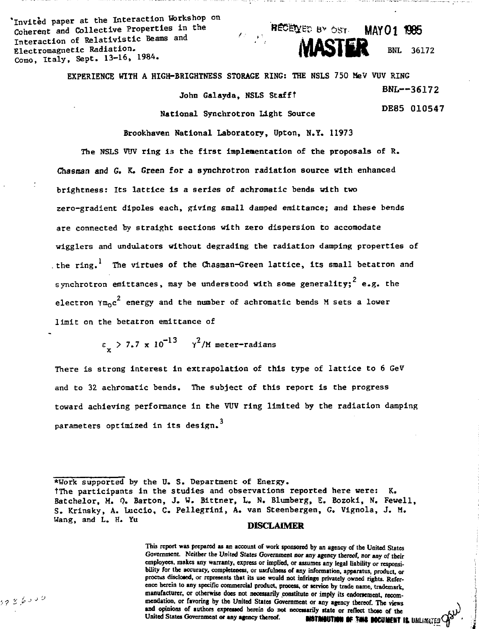Invited paper at the Interaction Workshop on Coherent and Collective Properties in the **BECEYET: BY OST MAYO1 1985** Interaction of Relativistic Beams and Electromagnetic Radiation.<br>
Reserves and Allen Box 20172 Como, Italy, Sept. 13-16, 1984.

EXPERIENCE WITH A HIGH-BRIGHTNESS STORAGE RING: THE NSLS 750 MeV VUV RING

John Galayda, NSLS Stafft BNL--36172 National Synchrotron Light Source

DE85 010547

Brookhaven National Laboratory, Upton, N.Y. 11973

The NSLS VUV ring is the first implementation of the proposals of R. Chasraan and G. K. Green for a synchrotron radiation source with enhanced brightness: Its lattice is a series of achromatic bends with two zero-gradient dipoles each, giving small damped emittance; and these bends are connected by straight sections with zero dispersion to accomodate wigglers and undulators without degrading the radiation damping properties of the ring.<sup>1</sup> The virtues of the Chasman-Green lattice, its small betatron and synchrotron emittances, may be understood with some generality:  $2$  e.g. the electron  $\gamma_{\text{m-c}}^2$  energy and the number of achromatic bends M sets a lower limit on the betatron emittance of

 $\varepsilon$   $>$  7.7 x 10<sup>-13</sup>  $\gamma^2/M$  meter-radians

There is strong interest in extrapolation of this type of lattice to 6 GeV and to 32 achromatic bends. The subject of this report is the progress toward achieving performance in the VUV ring limited by the radiation damping parameters optimized in its design.<sup>3</sup>

\*Work supported by the U. S. Department of Energy. tThe participants in the studies and observations reported here were: K. Batchelor, M. Q. Barton, J. W. Bittner, L. N. Blumberg, E. Bozoki, N. Fewell, S. Krinsky, A. Luccio, C. Pellegrini, A. van Steenbergen, G. Vignola, J. M.<br>Wang, and L. H. Yu

### Wang, and L. H. vu **DISCLAIMER**

This report was prepared as an account of work sponsored by an agency of the United States Government. Neither the United States Government nor any agency thereof, nor any of their employees, makes any warranty, express or implied, or assumes any legal liability or responsibility for the accuracy, completeness, or usefulness of any information, apparatus, product, or process disclosed, or represents that its use would not infringe privately owned rights. Reference herein to any specific commercial product, process, or service by trade name, trademark, manufacturer, or otherwise does not necessarily constitute or imply its endorsement, recom mendation, or favoring by the United States Government or any agency thereof. The views and opinions of authors expressed herein do not necessarily state or reflect those of the United States Government or any agency thereof. **BISTIMBUTION OF SINS DOCUMENT IS UHLIMITED<sup>C</sup>A** 

 $39.26000$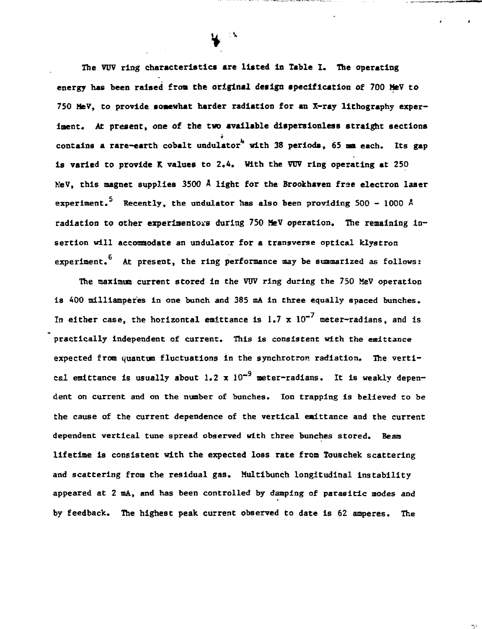**The VUV ring characteristics are listed in Table X. The operating energy has been raised fron the original design specification of 700 MeV to 750 MeV, to provide soaewhat harder radiation for an X-ray lithography exper**iment. At present, one of the two available dispersionless straight sections contains a rare-earth cobalt undulator<sup>4</sup> with 38 periods. 65 mm each. Its gap **contains a rare-earth cobalt undulator with 38 periods, 65 m each. Its gap** is varied to provide  $K$  values to 2.4. With the VUV ring operating at 250 **is varied to provide K values to 2.4. With the VUV ring operating at 250** NeV, this magnet supplies 3500 Å light for the Brookhaven free electron laser **KeV, this magnet supplies 3500 A light for the Brookhaven free electron laser** experiment.<sup>5</sup> Recently, the undulator has also been providing 500 - 1000 Å radiation to other experimentors during 750 MeV operation. The remaining in**radiation to other experinentors during 750 MeV operation. The remaining in**sertion will accommodate an undulator for a transverse optical klystron **sertion will accommodate an undulator for a transverse optical klystron** experiment.<sup>5</sup> At present, the ring performance may be summarized as follows: **experiment. At present, the ring performance may be summarized as follows:**

**The maximum current stored in the VUV ring during the 750 MeV operation is 400 milltamperes in one bunch and 385 mA in three equally spaced bunches. In either case, the horizontal emittance is 1.7 x 10" meter-radians, and is practically independent of current. This is consistent with the emittance** expected from quantum fluctuations in the synchrotron radiation. The verti**expected from quantum fluctuations in the synchrotron radiation. The vertical emittance is usually about 1.2 x 10 meter-radians. It is weakly dependent on current and on the number of bunches. Ion trapping is believed to be the cause of the current dependence of the vertical emittance and the current dependent vertical time spread observed with three bunches stored. Beam lifetime is consistent with the expected loss rate from Touechek scattering and scattering from the residual gas. Multibunch longitudinal instability appeared at 2 mA, and has been controlled by damping of parasitic modes and by feedback. The highest peak current observed to date is 62 amperes. The**

 $\sim$   $\sim$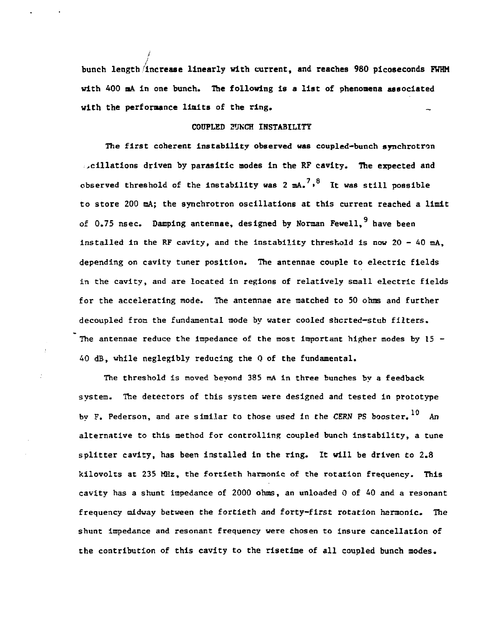**bunch length increase linearly with current, and reaches 980 picoseconds FWHM with 400 mA in one bunch. The following is a list of phenomena associated with the performance linits of the ring.**

# **COUPLED BUNCH INSTABILITY**

**The first coherent instability observed was coupled-bunch synchrotron filiations driven by parasitic nodes in the RF cavity. The expected and** observed threshold of the instability was  $2 \text{ mA}^7$ ,  $8$  It was still possible to store 200 mA; the synchrotron oscillations at this current reached a limit of 0.75 nsec. Damping antennae, designed by Norman Fewell.<sup>9</sup> have been installed in the RF cavity, and the instability threshold is now  $20 - 40$  mA, depending on cavity tuner position. The antennae couple to electric fields in the cavity, and are located in regions of relatively snail electric fields for the accelerating mode. The antennae are matched to 50 ohms and further decoupled from the fundamental mode by water cooled shcrted-stub filters. The antennae reduce the impedance of the most important higher modes by  $15 -$ 40 dB, while neglegibly reducing the 0 of the fundamental.

The threshold is moved beyond 385 mA in three bunches by a feedback system. The detectors of this system were designed and tested in prototype by F. Pederson, and are similar to those used in the CERN PS booster.  $^{10}$ alternative to this method for controlling coupled bunch instability, a tune splitter cavity, has been installed in the ring. It will be driven to 2.8 kilovolts at 235 MHz, the fortieth harmonic of the rotation frequency. This cavity has a shunt impedance of 2000 ohms, an unloaded 0 of 40 and a resonant frequency midway between the fortieth and forty-first rotation harmonic. The shunt impedance and resonant frequency were chosen to insure cancellation of the contribution of this cavity to the risetime of all coupled bunch modes.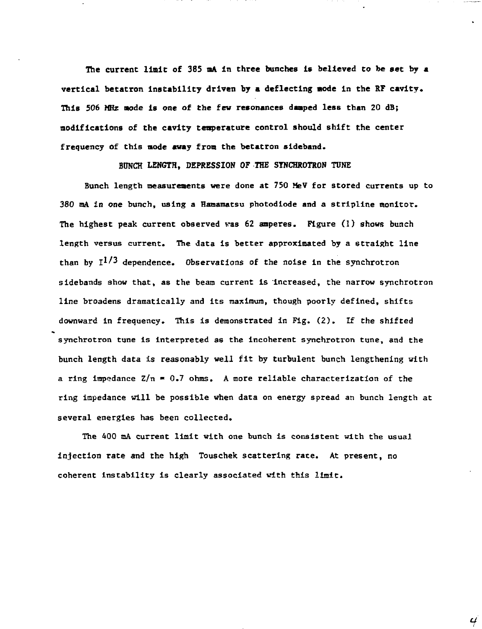**The current limit of 385 oA in three bunches is believed to be set by a** vertical betatron instability driven by a deflecting mode in the RF cavity. **This 506 MHz node is one of the few resonances daaped less than 20 dB; modifications of the cavity temperature control should shift the center frequency of this mode away from the betatron sideband.**

**BUNCH LENGTH, DEPRESSION OF THE SYNCHROTRON TONE**

Bunch length measurements were done at 750 MeV for stored currents up to **380 mA in one bunch, using a Hamamatsu photodiode and a stripline monitor. The highest peak current observed was 62 amperes. Figure (1) shows bunch length versus current. The data is better approximated by a straight line** than by  $I^{1/3}$  dependence. Observations of the noise in the synchrotron **sidebands show that, as the beam current is increased, the narrow synchrotron line broadens dramatically and its maximum, though poorly defined, shifts downward in frequency. This is demonstrated in Fig. (2). If the shifted synchrotron tune is interpreted as the incoherent synchrotron tune, and the bunch length data is reasonably well fit by turbulent bunch lengthening with a ring impedance Z/n » 0.7 ohms. A more reliable characterization of the ring impedance will be possible when data on energy spread an bunch length at several energies has been collected.**

**The 400 nA current limit with one bunch is consistent with the usual injection rate and the high Touschek scattering race. At present, no coherent instability is clearly associated with this limit.**

 $\mathbf{r}$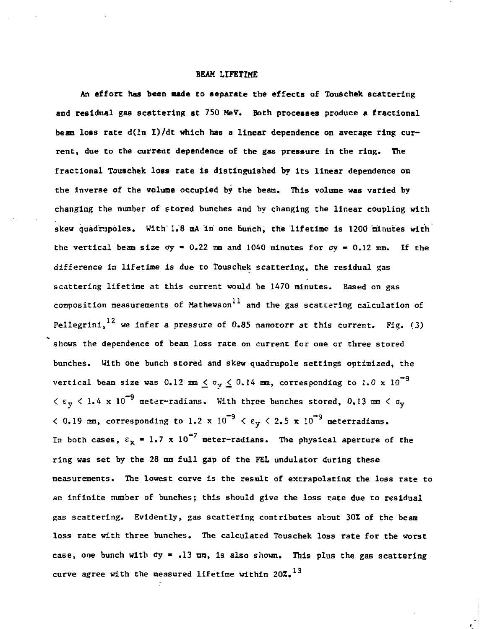# **BEAM LIFETIME**

**An effort has been made to separate the effects of Touschek scattering and residual gas scattering at 750 MeV. Both processes produce a fractional beam loss rate d(ln I)/dt which has a linear dependence on average ring current, due to the current dependence of the gas pressure in the ring. The fractional Touschek loss rate is distinguished by its linear dependence on the Inverse of the volume occupied by the bean. This volume was varied by changing the number of stored bunches and by changing the linear coupling with** skew quadrupoles. With 1.8 mA in one bunch, the lifetime is 1200 minutes with the vertical beam size  $\sigma y = 0.22$  mm and 1040 minutes for  $\sigma y = 0.12$  mm. If the **difference in lifetime is due to Touschek scattering, the residual gas scattering lifetime at this current would be 1470 minutes. Eased on gas** composition measurements of Mathewson<sup>11</sup> and the gas scattering calculation of Pellegrini,<sup>12</sup> we infer a pressure of 0.85 nanotorr at this current. Fig. (3) **shows the dependence of beam loss rate on current for one or three stored bunches. With one bunch stored and skew quadrupole settings optimized, the** vertical beam size was  $0.12 \text{ mm } \leq \sigma_{\text{v}} \leq 0.14 \text{ mm}$ , corresponding to  $1.0 \times 10^{-9}$  $\langle \epsilon_{\rm y} \langle 1.4 \times 10^{-9} \rangle$  meter-radians. With three bunches stored, 0.13 mm  $\langle \sigma_{\rm y} \rangle$  $\leq$  0.19 mm, corresponding to 1.2 x 10<sup>-9</sup>  $\leq$   $\varepsilon_{v}$   $\leq$  2.5 x 10<sup>-9</sup> meterradians. In both cases,  $\varepsilon_{\mathbf{x}} = 1.7 \times 10^{-7}$  meter-radians. The physical aperture of the ring was set by the 28 mm full gap of the FEL undulator during these measurements. The lowest curve is the result of extrapolating the loss rate to an infinite number of bunches; this should give the loss rate due to residual gas scattering. Evidently, gas scattering contributes about 30% of the beam loss rate with three bunches. The calculated Touschek loss rate for the worst case, one bunch with  $\sigma y = .13$  mm, is also shown. This plus the gas scattering curve agree with the measured lifetime within 20%.<sup>13</sup>

**curve agree with the measured lifetime within 202.**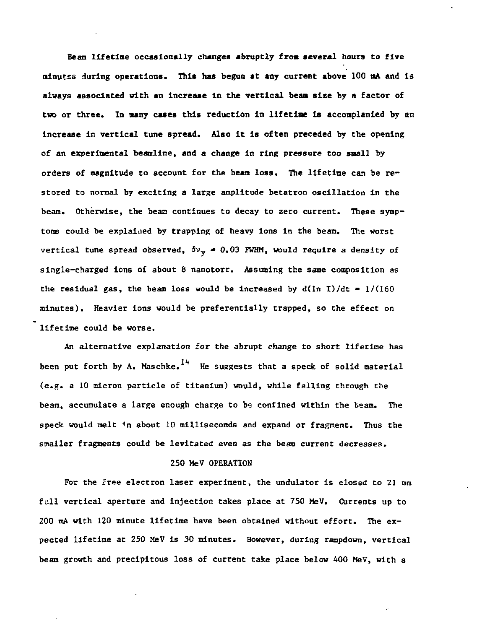**Beam lifetime occasionally changes abruptly froai several hours to five minutes during operations. This has begun at any current above 100 nA and Is always associated with an increase in the vertical beam size by a factor of two or three. In aany cases this reduction in lifetime is acconplanled by an increase in vertical tune spread. Also it is often preceded by the opening of an experimental beanllne, and a change in ring pressure too small by orders of magnitude to account for the bean loss. The lifetime can be restored to normal by exciting a large amplitude betatron oscillation in the beam. Otherwise, the bean continues to decay to zero current. These symptoms could be explained by trapping of heavy ions in the bean. The worst vertical tune spread observed, 5vy » 0.03 FHHM, would require a density of single-charged ions of about 8 nanotorr. Assuming the same composition as** the residual gas, the beam loss would be increased by  $d(ln I)/dt = 1/(160$ **minutes). Heavier ions would be preferentially trapped, so the effect on lifetime could be worse.**

**An alternative explanation for the abrupt change to short lifetime has been put forth by A. Maschke. He suggests that a speck of solid material (e.g. a 10 micron particle of titanium) would, while falling through the beam, accumulate a large enough charge to be confined within the beam. The speck would melt in about 10 milliseconds and expand or fragnent. Thus the smaller fragments could be levitated even as the beam current decreases.**

#### **250 MeV OPERATION**

For the free electron laser experiment, the undulator is closed to 21 mm **full vertical aperture and injection takes place at 750 MeV. Currents up to 200 mA with 120 minute lifetime have been obtained without effort. The expected lifetime at 250 MeV is 30 minutes. However, during rampdown, vertical beam growth and precipitous loss of current take place below A00 MeV, with a**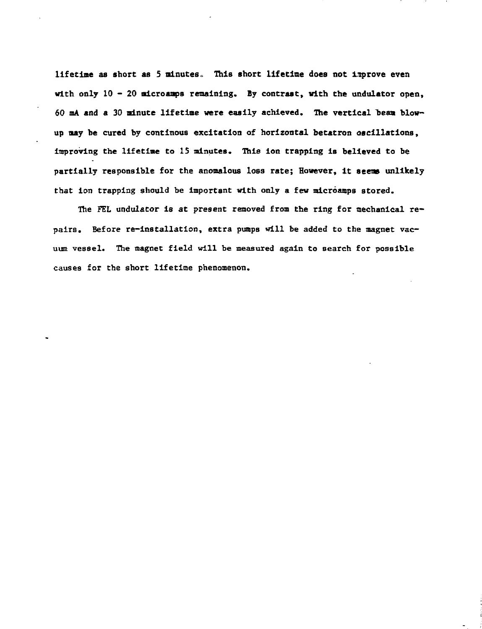**lifetime as short as 5 minutes. This short lifetime does not i.nprove even with only 10 - 20 microaaps remaining. By contrast, with the undulator open, 60 mA and a 30 ainute lifetime were easily achieved. The vertical beaa blowup may be cured by continous excitation of horizontal betatron oscillations, improving the lifetime to IS minutes. This ion trapping is believed to be partially responsible for the anomalous loss rate; However, it seems unlikely** that ion trapping should be **important with only** a **few microamps stored.**

The FEL undulator **is** at present removed from the ring for mechanical repairs. Before re-installation, extra pumps will be added to the magnet vacuum vessel. The magnet field will be measured again to search for possible causes for the short lifetime phenomenon.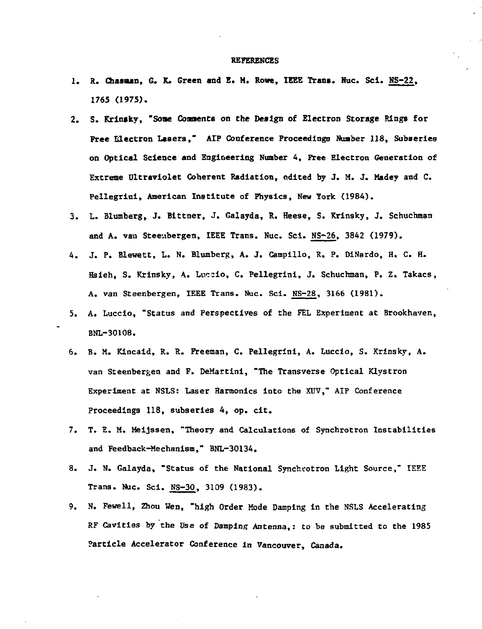#### **REFERENCES**

- **1. R. Chasaan, G. X. Green and E. M. Rove, IEEE Trans. Muc. Sci. NS-22. 1765 <1975).**
- **2. S. Krinsky, "Some Consents on Che Design of Electron Storage Rings for Free Electron Lasers," AIP Conference Proceedings Number 118, Subserles on Optical Science and Engineering Nunber 4, Free Electron Generation of Extreme Ultraviolet Coherent Radiation, edited by J. M. J. Madey and C. Pellegrini, American Institute of Physics, New York (1984).**
- **3. L, Blumberg, J. Bittner, J. Galayda, R. Reese, S. Krinsky, J. Schuchman and A. van Steeubergen, IEEE Trans. Nuc. Sci. RS-26, 3842 (1979).**
- **4. J. P. Blewett, L. N. Blumberg, A. J. Campillo, R. P. DiNardo, H. C. H. Hsieh, S. Krinsky, A. Lurrcio, C. Pellegrini, J. Schuchman, P. Z. Takacs, A. van Steenbergen, IEEE Trans. Nuc. Sci. NS-28, 3166 (1981).**
- **5. A. Lucclo, "Status and Perspectives of the FEL Experiment at Brookhaven, BNL-30108.**
- **6. B. M. Kincaid, R. R. Freeman, C. Pellegrini, A. Luccio, S. Krinsky, A. van Steenbergen and F. DeMartinl, "The Transverse Optical Klystron Experiment at NSLSs Laser Harmonics into the XUV," AIP Conference Proceedings 118, subseries 4, op. cit.**
- **7. T. E. M. Meijssen, "Theory and Calculations of Synchrotron Instabilities and Feedback-Mechanism," BNL-30134.**
- **8. J. N. Galayda, "Status of the National Synchrotron Light Source," IEEE Trans. Nuc. Sci. NS-30. 3109 (1983).**
- **9. N. Fewell, Zhou Wen, "high Order Mode Damping in the NSLS Accelerating RF Cavities by the Use of Camping Antenna,: to be submitted to the 1985 Particle Accelerator Conference In Vancouver, Canada.**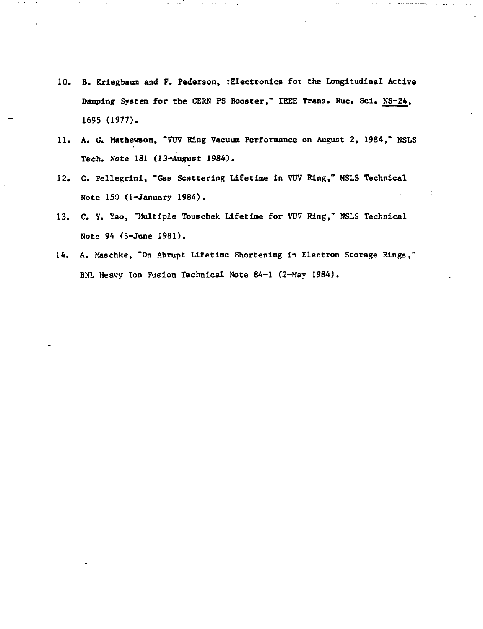- **10. B. Krlegbaum and F. Pederson, :Electronlcs fot the Longitudinal Active Damping System for the CERN PS Booster," IEEE Trans. Nuc. Sci. NS-24. 1695 (1977).**
- **11. A. G. Mathewson, "VUV Ring Vacuum Performance on August 2, 1984," NSLS Tech. Note 181 (13-August 1984).**
- **12. C. Pellegrini, "Gas Scattering Lifetime in VUV Ring," NSLS Technical Note 150 (1-January 1984).**
- **13. C. Y. Yao, "Multiple Touschek Lifetime for VUV Ring," NSLS Technical Note 94 (3-June 1981).**
- **14. A. Maschke, "On Abrupt Lifetime Shortening in Electron Storage Rings," BNL Heavy Ion Fusion Technical Note 84-1 (2-May 1984).**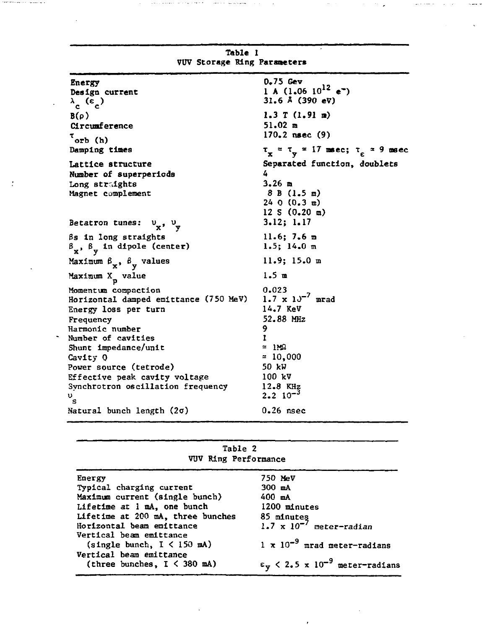| Energy<br>Design current<br>$\lambda_c$ ( $\epsilon_c$ )                                                                                                                                                                                                                       | $0.75$ Gev<br>1 A $(1.06 10^{12} e^{-})$<br>31.6 Å (390 eV)                                                              |
|--------------------------------------------------------------------------------------------------------------------------------------------------------------------------------------------------------------------------------------------------------------------------------|--------------------------------------------------------------------------------------------------------------------------|
| $B(\rho)$<br>Circumference<br>$^{\tau}$ orb (h)                                                                                                                                                                                                                                | 1.3 T (1.91 n)<br>$51.02$ m<br>$170.2$ nsec $(9)$                                                                        |
| Damping times                                                                                                                                                                                                                                                                  | $\tau_x = \tau_y = 17$ msec; $\tau_c = 9$ msec                                                                           |
| Lattice structure<br>Number of superperiods<br>Long straights<br>Magnet complement                                                                                                                                                                                             | Separated function, doublets<br>4<br>$3.26$ m<br>8 B (1.5 m)<br>$24 \t0 (0.3 m)$<br>12 S (0.20 m)                        |
| Betatron tunes: $v_x$ , $v_y$                                                                                                                                                                                                                                                  | 3.12; 1.17                                                                                                               |
| βs in long straights<br>$\beta_x$ , $\beta_y$ in dipole (center)                                                                                                                                                                                                               | 11.6; 7.6 m<br>1.5; 14.0 m                                                                                               |
| Maximum $\beta_{\mathbf{x}}, \beta_{\mathbf{y}}$ values                                                                                                                                                                                                                        | 11.9; 15.0 m                                                                                                             |
| Maximum X <sub>p</sub> value                                                                                                                                                                                                                                                   | 1.5 m                                                                                                                    |
| Momentum compaction<br>Horizontal damped emittance (750 MeV)<br>Energy loss per turn<br>Frequency<br>Harmonic number<br>Number of cavities<br>Shunt impedance/unit<br>Cavity Q<br>Power source (tetrode)<br>Effective peak cavity voltage<br>Synchrotron oscillation frequency | 0.023<br>1.7 x $10^{-7}$ mrad<br>14.7 KeV<br>52.88 MHz<br>9<br>1<br>≃ 1MΩ<br>$= 10,000$<br>50 kW<br>100 kV<br>$12.8$ KHz |
| υ<br>s                                                                                                                                                                                                                                                                         | $2.2 \, 10^{-3}$                                                                                                         |
| Natural bunch length (20)                                                                                                                                                                                                                                                      | $0.26$ nsec                                                                                                              |

**Table 1 VUV Storage Ring Parameters**

 $\gamma$  , and  $\gamma$  is a simple operator

 $\alpha$ 

 $\mathbf{r}$ 

| Table 2<br>VUV Ring Performance   |                                                        |
|-----------------------------------|--------------------------------------------------------|
|                                   |                                                        |
| Typical charging current          | 300 mA                                                 |
| Maximum current (single bunch)    | $400$ mA                                               |
| Lifetime at 1 mA, one bunch       | 1200 minutes                                           |
| Lifetime at 200 mA, three bunches | 85 minutes<br>1.7 x $10^{-7}$ meter-radian             |
| Horizontal beam emittance         |                                                        |
| Vertical beam emittance           |                                                        |
| (single bunch, $I < 150$ mA)      | $1 \times 10^{-9}$ mrad meter-radians                  |
| Vertical beam emittance           |                                                        |
| (three bunches, $I \leq 380$ mA)  | $\varepsilon_y$ < 2.5 x 10 <sup>-9</sup> meter-radians |

 $\overline{1}$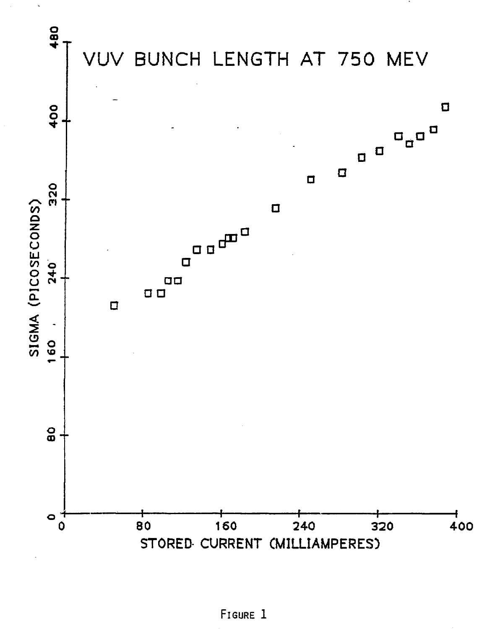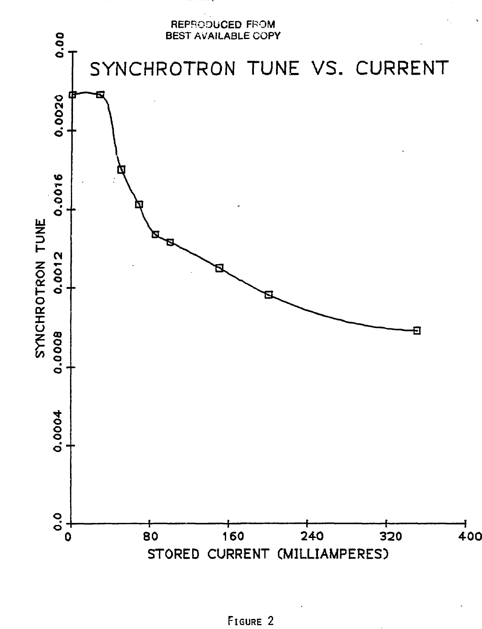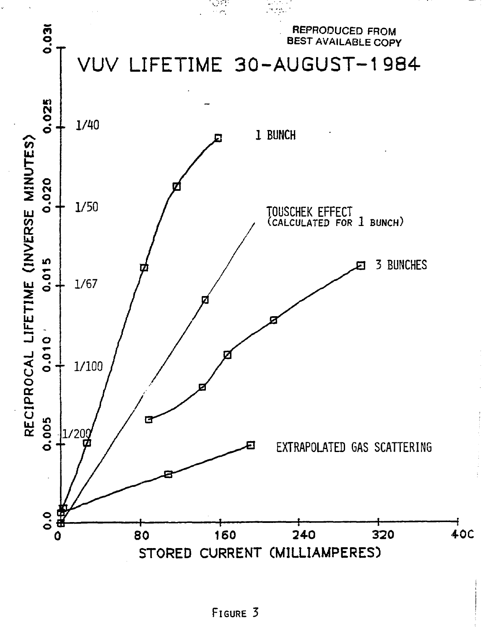